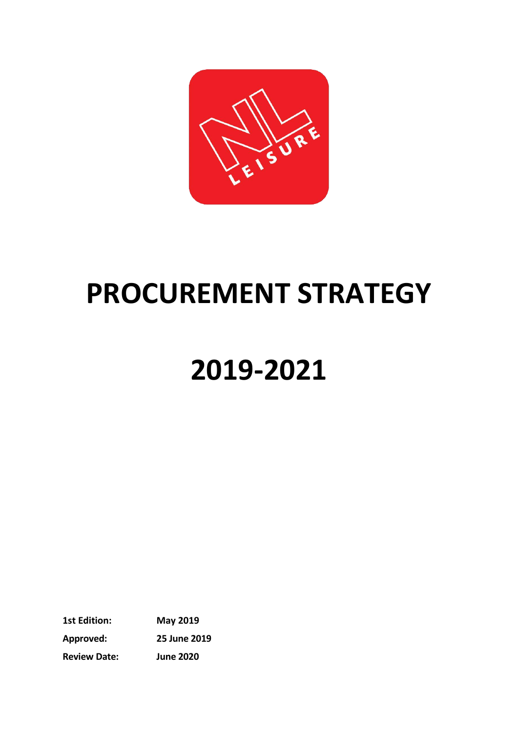

## **PROCUREMENT STRATEGY**

# **2019-2021**

**1st Edition: May 2019 Approved: 25 June 2019 Review Date: June 2020**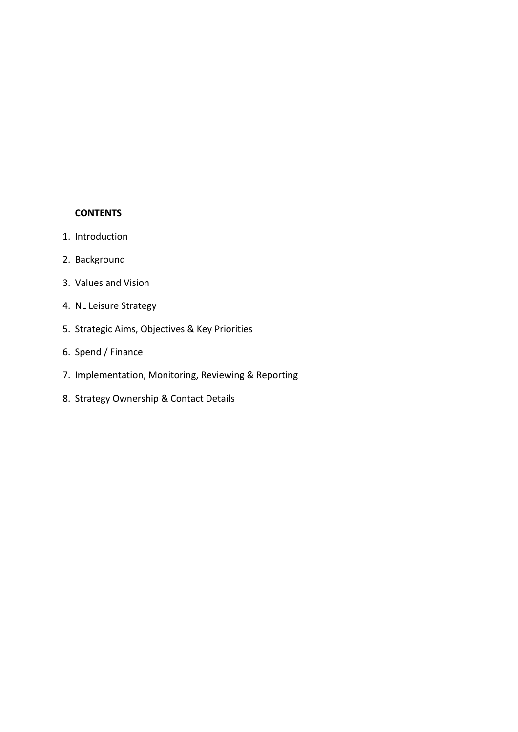#### **CONTENTS**

- 1. Introduction
- 2. Background
- 3. Values and Vision
- 4. NL Leisure Strategy
- 5. Strategic Aims, Objectives & Key Priorities
- 6. Spend / Finance
- 7. Implementation, Monitoring, Reviewing & Reporting
- 8. Strategy Ownership & Contact Details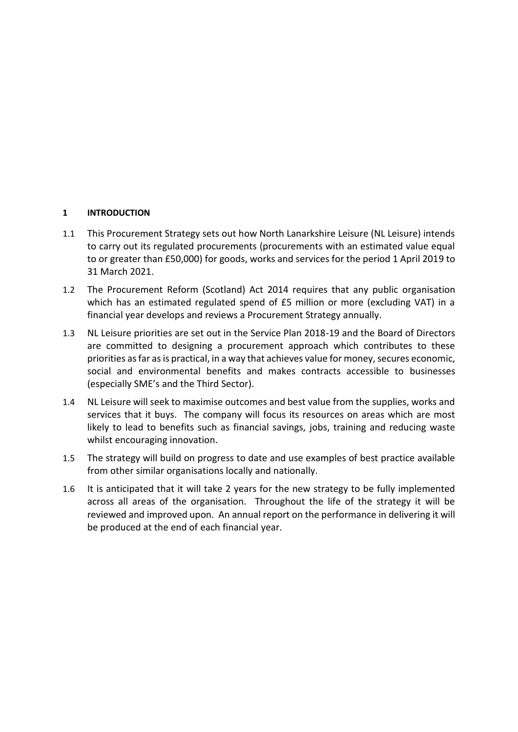#### **1 INTRODUCTION**

- 1.1 This Procurement Strategy sets out how North Lanarkshire Leisure (NL Leisure) intends to carry out its regulated procurements (procurements with an estimated value equal to or greater than £50,000) for goods, works and services for the period 1 April 2019 to 31 March 2021.
- 1.2 The Procurement Reform (Scotland) Act 2014 requires that any public organisation which has an estimated regulated spend of £5 million or more (excluding VAT) in a financial year develops and reviews a Procurement Strategy annually.
- 1.3 NL Leisure priorities are set out in the Service Plan 2018-19 and the Board of Directors are committed to designing a procurement approach which contributes to these priorities as far as is practical, in a way that achieves value for money, secures economic, social and environmental benefits and makes contracts accessible to businesses (especially SME's and the Third Sector).
- 1.4 NL Leisure will seek to maximise outcomes and best value from the supplies, works and services that it buys. The company will focus its resources on areas which are most likely to lead to benefits such as financial savings, jobs, training and reducing waste whilst encouraging innovation.
- 1.5 The strategy will build on progress to date and use examples of best practice available from other similar organisations locally and nationally.
- 1.6 It is anticipated that it will take 2 years for the new strategy to be fully implemented across all areas of the organisation. Throughout the life of the strategy it will be reviewed and improved upon. An annual report on the performance in delivering it will be produced at the end of each financial year.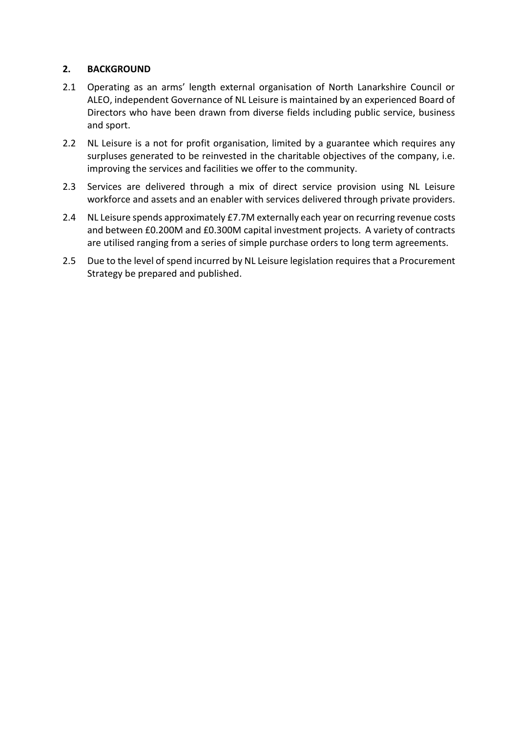#### **2. BACKGROUND**

- 2.1 Operating as an arms' length external organisation of North Lanarkshire Council or ALEO, independent Governance of NL Leisure is maintained by an experienced Board of Directors who have been drawn from diverse fields including public service, business and sport.
- 2.2 NL Leisure is a not for profit organisation, limited by a guarantee which requires any surpluses generated to be reinvested in the charitable objectives of the company, i.e. improving the services and facilities we offer to the community.
- 2.3 Services are delivered through a mix of direct service provision using NL Leisure workforce and assets and an enabler with services delivered through private providers.
- 2.4 NL Leisure spends approximately £7.7M externally each year on recurring revenue costs and between £0.200M and £0.300M capital investment projects. A variety of contracts are utilised ranging from a series of simple purchase orders to long term agreements.
- 2.5 Due to the level of spend incurred by NL Leisure legislation requires that a Procurement Strategy be prepared and published.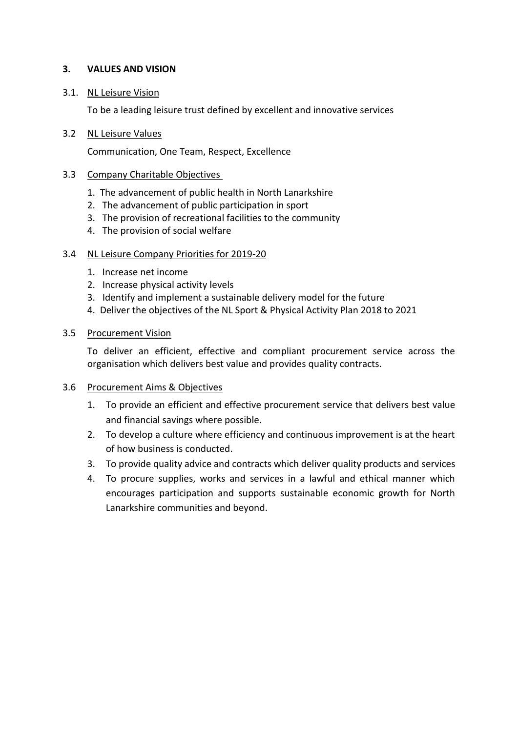#### **3. VALUES AND VISION**

#### 3.1. NL Leisure Vision

To be a leading leisure trust defined by excellent and innovative services

#### 3.2 NL Leisure Values

Communication, One Team, Respect, Excellence

#### 3.3 Company Charitable Objectives

- 1. The advancement of public health in North Lanarkshire
- 2. The advancement of public participation in sport
- 3. The provision of recreational facilities to the community
- 4. The provision of social welfare

#### 3.4 NL Leisure Company Priorities for 2019-20

- 1. Increase net income
- 2. Increase physical activity levels
- 3. Identify and implement a sustainable delivery model for the future
- 4. Deliver the objectives of the NL Sport & Physical Activity Plan 2018 to 2021

#### 3.5 Procurement Vision

To deliver an efficient, effective and compliant procurement service across the organisation which delivers best value and provides quality contracts.

#### 3.6 Procurement Aims & Objectives

- 1. To provide an efficient and effective procurement service that delivers best value and financial savings where possible.
- 2. To develop a culture where efficiency and continuous improvement is at the heart of how business is conducted.
- 3. To provide quality advice and contracts which deliver quality products and services
- 4. To procure supplies, works and services in a lawful and ethical manner which encourages participation and supports sustainable economic growth for North Lanarkshire communities and beyond.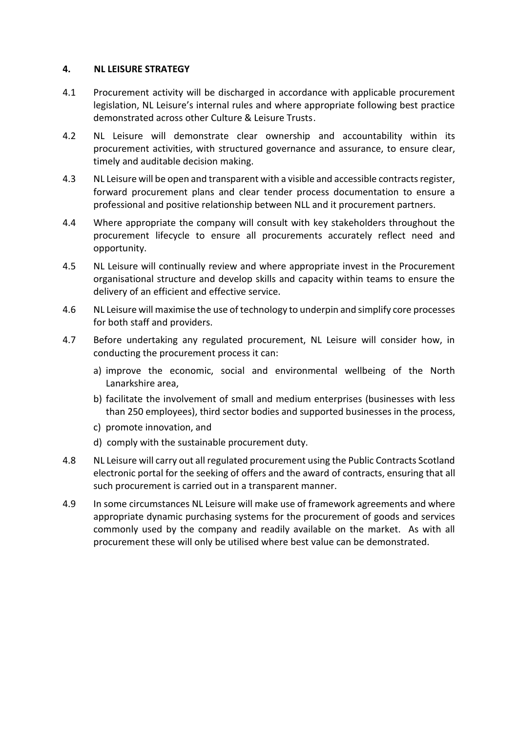#### **4. NL LEISURE STRATEGY**

- 4.1 Procurement activity will be discharged in accordance with applicable procurement legislation, NL Leisure's internal rules and where appropriate following best practice demonstrated across other Culture & Leisure Trusts.
- 4.2 NL Leisure will demonstrate clear ownership and accountability within its procurement activities, with structured governance and assurance, to ensure clear, timely and auditable decision making.
- 4.3 NL Leisure will be open and transparent with a visible and accessible contracts register, forward procurement plans and clear tender process documentation to ensure a professional and positive relationship between NLL and it procurement partners.
- 4.4 Where appropriate the company will consult with key stakeholders throughout the procurement lifecycle to ensure all procurements accurately reflect need and opportunity.
- 4.5 NL Leisure will continually review and where appropriate invest in the Procurement organisational structure and develop skills and capacity within teams to ensure the delivery of an efficient and effective service.
- 4.6 NL Leisure will maximise the use of technology to underpin and simplify core processes for both staff and providers.
- 4.7 Before undertaking any regulated procurement, NL Leisure will consider how, in conducting the procurement process it can:
	- a) improve the economic, social and environmental wellbeing of the North Lanarkshire area,
	- b) facilitate the involvement of small and medium enterprises (businesses with less than 250 employees), third sector bodies and supported businesses in the process,
	- c) promote innovation, and
	- d) comply with the sustainable procurement duty.
- 4.8 NL Leisure will carry out all regulated procurement using the Public Contracts Scotland electronic portal for the seeking of offers and the award of contracts, ensuring that all such procurement is carried out in a transparent manner.
- 4.9 In some circumstances NL Leisure will make use of framework agreements and where appropriate dynamic purchasing systems for the procurement of goods and services commonly used by the company and readily available on the market. As with all procurement these will only be utilised where best value can be demonstrated.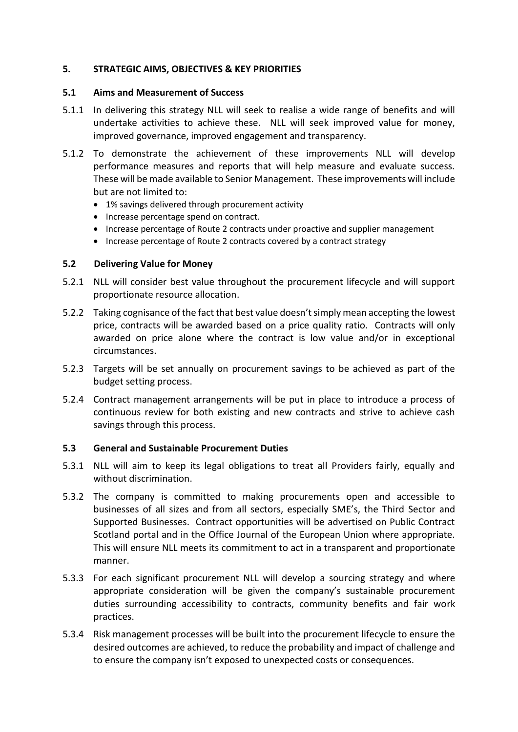#### **5. STRATEGIC AIMS, OBJECTIVES & KEY PRIORITIES**

#### **5.1 Aims and Measurement of Success**

- 5.1.1 In delivering this strategy NLL will seek to realise a wide range of benefits and will undertake activities to achieve these. NLL will seek improved value for money, improved governance, improved engagement and transparency.
- 5.1.2 To demonstrate the achievement of these improvements NLL will develop performance measures and reports that will help measure and evaluate success. These will be made available to Senior Management. These improvements will include but are not limited to:
	- 1% savings delivered through procurement activity
	- Increase percentage spend on contract.
	- Increase percentage of Route 2 contracts under proactive and supplier management
	- Increase percentage of Route 2 contracts covered by a contract strategy

#### **5.2 Delivering Value for Money**

- 5.2.1 NLL will consider best value throughout the procurement lifecycle and will support proportionate resource allocation.
- 5.2.2 Taking cognisance of the fact that best value doesn't simply mean accepting the lowest price, contracts will be awarded based on a price quality ratio. Contracts will only awarded on price alone where the contract is low value and/or in exceptional circumstances.
- 5.2.3 Targets will be set annually on procurement savings to be achieved as part of the budget setting process.
- 5.2.4 Contract management arrangements will be put in place to introduce a process of continuous review for both existing and new contracts and strive to achieve cash savings through this process.

#### **5.3 General and Sustainable Procurement Duties**

- 5.3.1 NLL will aim to keep its legal obligations to treat all Providers fairly, equally and without discrimination.
- 5.3.2 The company is committed to making procurements open and accessible to businesses of all sizes and from all sectors, especially SME's, the Third Sector and Supported Businesses. Contract opportunities will be advertised on Public Contract Scotland portal and in the Office Journal of the European Union where appropriate. This will ensure NLL meets its commitment to act in a transparent and proportionate manner.
- 5.3.3 For each significant procurement NLL will develop a sourcing strategy and where appropriate consideration will be given the company's sustainable procurement duties surrounding accessibility to contracts, community benefits and fair work practices.
- 5.3.4 Risk management processes will be built into the procurement lifecycle to ensure the desired outcomes are achieved, to reduce the probability and impact of challenge and to ensure the company isn't exposed to unexpected costs or consequences.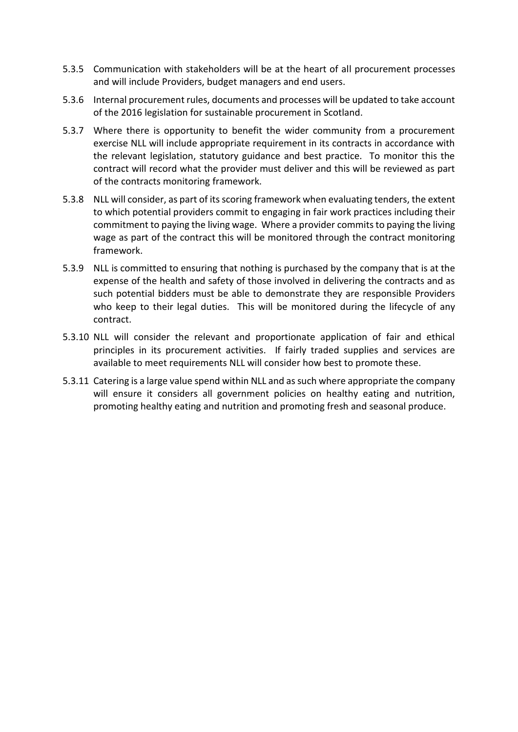- 5.3.5 Communication with stakeholders will be at the heart of all procurement processes and will include Providers, budget managers and end users.
- 5.3.6 Internal procurement rules, documents and processes will be updated to take account of the 2016 legislation for sustainable procurement in Scotland.
- 5.3.7 Where there is opportunity to benefit the wider community from a procurement exercise NLL will include appropriate requirement in its contracts in accordance with the relevant legislation, statutory guidance and best practice. To monitor this the contract will record what the provider must deliver and this will be reviewed as part of the contracts monitoring framework.
- 5.3.8 NLL will consider, as part of its scoring framework when evaluating tenders, the extent to which potential providers commit to engaging in fair work practices including their commitment to paying the living wage. Where a provider commits to paying the living wage as part of the contract this will be monitored through the contract monitoring framework.
- 5.3.9 NLL is committed to ensuring that nothing is purchased by the company that is at the expense of the health and safety of those involved in delivering the contracts and as such potential bidders must be able to demonstrate they are responsible Providers who keep to their legal duties. This will be monitored during the lifecycle of any contract.
- 5.3.10 NLL will consider the relevant and proportionate application of fair and ethical principles in its procurement activities. If fairly traded supplies and services are available to meet requirements NLL will consider how best to promote these.
- 5.3.11 Catering is a large value spend within NLL and as such where appropriate the company will ensure it considers all government policies on healthy eating and nutrition, promoting healthy eating and nutrition and promoting fresh and seasonal produce.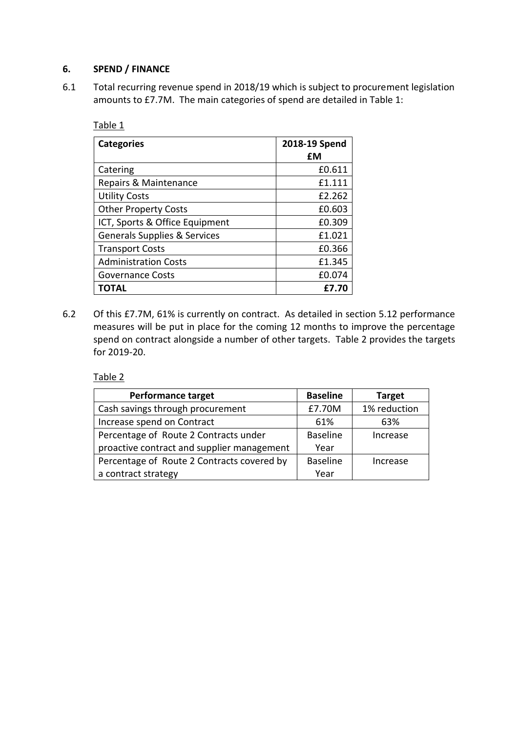#### **6. SPEND / FINANCE**

6.1 Total recurring revenue spend in 2018/19 which is subject to procurement legislation amounts to £7.7M. The main categories of spend are detailed in Table 1:

Table 1

| <b>Categories</b>                       | 2018-19 Spend |  |
|-----------------------------------------|---------------|--|
|                                         | £М            |  |
| Catering                                | £0.611        |  |
| Repairs & Maintenance                   | £1.111        |  |
| <b>Utility Costs</b>                    | £2.262        |  |
| <b>Other Property Costs</b>             | £0.603        |  |
| ICT, Sports & Office Equipment          | £0.309        |  |
| <b>Generals Supplies &amp; Services</b> | £1.021        |  |
| <b>Transport Costs</b>                  | £0.366        |  |
| <b>Administration Costs</b>             | £1.345        |  |
| <b>Governance Costs</b>                 | £0.074        |  |
| ΤΟΤΑL                                   | £7.70         |  |

6.2 Of this £7.7M, 61% is currently on contract. As detailed in section 5.12 performance measures will be put in place for the coming 12 months to improve the percentage spend on contract alongside a number of other targets. Table 2 provides the targets for 2019-20.

Table 2

| <b>Performance target</b>                  | <b>Baseline</b> | <b>Target</b> |
|--------------------------------------------|-----------------|---------------|
| Cash savings through procurement           | £7.70M          | 1% reduction  |
| Increase spend on Contract                 | 61%             | 63%           |
| Percentage of Route 2 Contracts under      | <b>Baseline</b> | Increase      |
| proactive contract and supplier management | Year            |               |
| Percentage of Route 2 Contracts covered by | <b>Baseline</b> | Increase      |
| a contract strategy                        | Year            |               |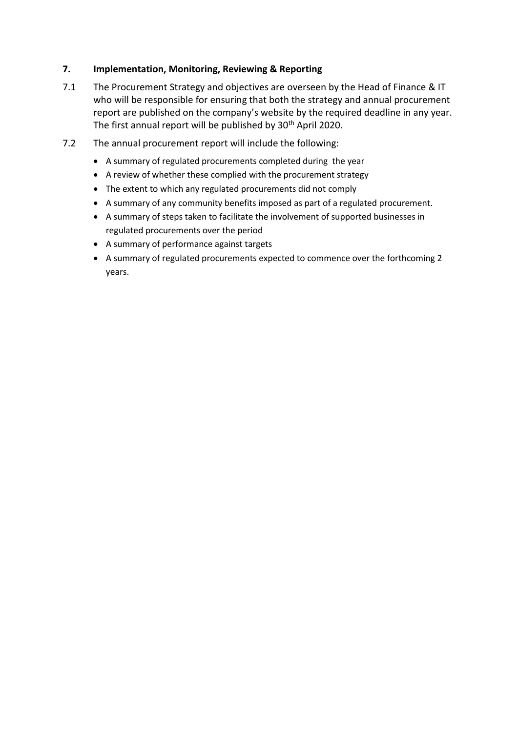#### **7. Implementation, Monitoring, Reviewing & Reporting**

- 7.1 The Procurement Strategy and objectives are overseen by the Head of Finance & IT who will be responsible for ensuring that both the strategy and annual procurement report are published on the company's website by the required deadline in any year. The first annual report will be published by  $30<sup>th</sup>$  April 2020.
- 7.2 The annual procurement report will include the following:
	- A summary of regulated procurements completed during the year
	- A review of whether these complied with the procurement strategy
	- The extent to which any regulated procurements did not comply
	- A summary of any community benefits imposed as part of a regulated procurement.
	- A summary of steps taken to facilitate the involvement of supported businesses in regulated procurements over the period
	- A summary of performance against targets
	- A summary of regulated procurements expected to commence over the forthcoming 2 years.